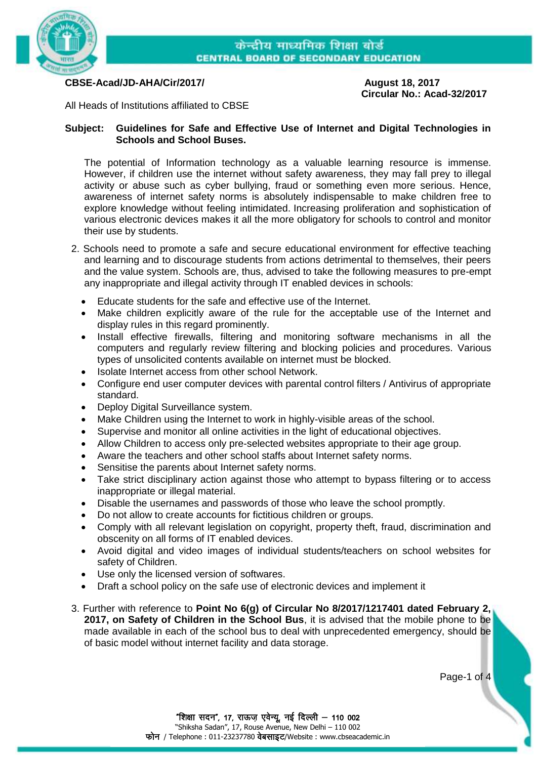

**CBSE-Acad/JD-AHA/Cir/2017/ August 18, 2017**

**Circular No.: Acad-32/2017**

All Heads of Institutions affiliated to CBSE

## **Subject: Guidelines for Safe and Effective Use of Internet and Digital Technologies in Schools and School Buses.**

The potential of Information technology as a valuable learning resource is immense. However, if children use the internet without safety awareness, they may fall prey to illegal activity or abuse such as cyber bullying, fraud or something even more serious. Hence, awareness of internet safety norms is absolutely indispensable to make children free to explore knowledge without feeling intimidated. Increasing proliferation and sophistication of various electronic devices makes it all the more obligatory for schools to control and monitor their use by students.

- 2. Schools need to promote a safe and secure educational environment for effective teaching and learning and to discourage students from actions detrimental to themselves, their peers and the value system. Schools are, thus, advised to take the following measures to pre-empt any inappropriate and illegal activity through IT enabled devices in schools:
	- Educate students for the safe and effective use of the Internet.
	- Make children explicitly aware of the rule for the acceptable use of the Internet and display rules in this regard prominently.
	- Install effective firewalls, filtering and monitoring software mechanisms in all the computers and regularly review filtering and blocking policies and procedures. Various types of unsolicited contents available on internet must be blocked.
	- Isolate Internet access from other school Network.
	- Configure end user computer devices with parental control filters / Antivirus of appropriate standard.
	- Deploy Digital Surveillance system.
	- Make Children using the Internet to work in highly-visible areas of the school.
	- Supervise and monitor all online activities in the light of educational objectives.
	- Allow Children to access only pre-selected websites appropriate to their age group.
	- Aware the teachers and other school staffs about Internet safety norms.
	- Sensitise the parents about Internet safety norms.
	- Take strict disciplinary action against those who attempt to bypass filtering or to access inappropriate or illegal material.
	- Disable the usernames and passwords of those who leave the school promptly.
	- Do not allow to create accounts for fictitious children or groups.
	- Comply with all relevant legislation on copyright, property theft, fraud, discrimination and obscenity on all forms of IT enabled devices.
	- Avoid digital and video images of individual students/teachers on school websites for safety of Children.
	- Use only the licensed version of softwares.
	- Draft a school policy on the safe use of electronic devices and implement it
- 3. Further with reference to **Point No 6(g) of Circular No 8/2017/1217401 dated February 2, 2017, on Safety of Children in the School Bus**, it is advised that the mobile phone to be made available in each of the school bus to deal with unprecedented emergency, should be of basic model without internet facility and data storage.

Page-1 of 4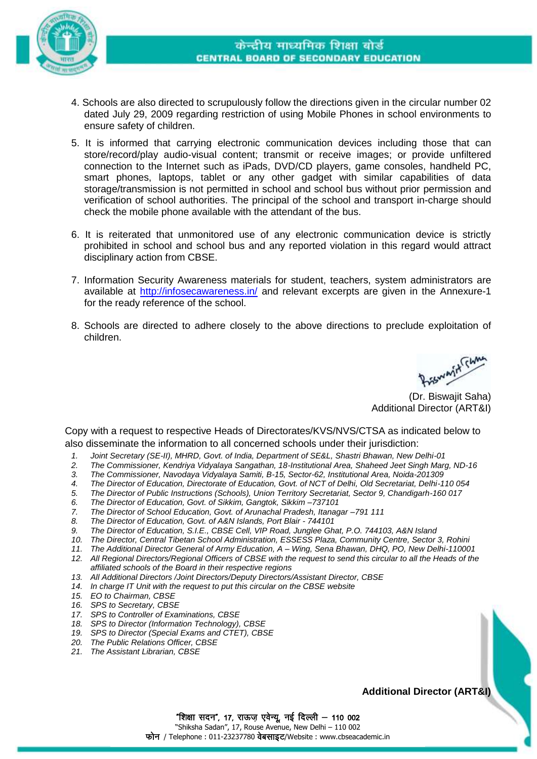

- 4. Schools are also directed to scrupulously follow the directions given in the circular number 02 dated July 29, 2009 regarding restriction of using Mobile Phones in school environments to ensure safety of children.
- 5. It is informed that carrying electronic communication devices including those that can store/record/play audio-visual content; transmit or receive images; or provide unfiltered connection to the Internet such as iPads, DVD/CD players, game consoles, handheld PC, smart phones, laptops, tablet or any other gadget with similar capabilities of data storage/transmission is not permitted in school and school bus without prior permission and verification of school authorities. The principal of the school and transport in-charge should check the mobile phone available with the attendant of the bus.
- 6. It is reiterated that unmonitored use of any electronic communication device is strictly prohibited in school and school bus and any reported violation in this regard would attract disciplinary action from CBSE.
- 7. Information Security Awareness materials for student, teachers, system administrators are available at<http://infosecawareness.in/> and relevant excerpts are given in the Annexure-1 for the ready reference of the school.
- 8. Schools are directed to adhere closely to the above directions to preclude exploitation of children.

Prismanin<sup>k</sup> Flaman<br>(Dr. Biswajit Saha)

Additional Director (ART&I)

Copy with a request to respective Heads of Directorates/KVS/NVS/CTSA as indicated below to also disseminate the information to all concerned schools under their jurisdiction:

- *1. Joint Secretary (SE-II), MHRD, Govt. of India, Department of SE&L, Shastri Bhawan, New Delhi-01*
- *2. The Commissioner, Kendriya Vidyalaya Sangathan, 18-Institutional Area, Shaheed Jeet Singh Marg, ND-16*
- *3. The Commissioner, Navodaya Vidyalaya Samiti, B-15, Sector-62, Institutional Area, Noida-201309*
- *4. The Director of Education, Directorate of Education, Govt. of NCT of Delhi, Old Secretariat, Delhi-110 054*
- *5. The Director of Public Instructions (Schools), Union Territory Secretariat, Sector 9, Chandigarh-160 017*
- *6. The Director of Education, Govt. of Sikkim, Gangtok, Sikkim –737101*
- *7. The Director of School Education, Govt. of Arunachal Pradesh, Itanagar –791 111*
- *8. The Director of Education, Govt. of A&N Islands, Port Blair - 744101*
- *9. The Director of Education, S.I.E., CBSE Cell, VIP Road, Junglee Ghat, P.O. 744103, A&N Island*
- *10. The Director, Central Tibetan School Administration, ESSESS Plaza, Community Centre, Sector 3, Rohini*
- *11. The Additional Director General of Army Education, A – Wing, Sena Bhawan, DHQ, PO, New Delhi-110001*
- *12. All Regional Directors/Regional Officers of CBSE with the request to send this circular to all the Heads of the affiliated schools of the Board in their respective regions*
- *13. All Additional Directors /Joint Directors/Deputy Directors/Assistant Director, CBSE*
- *14. In charge IT Unit with the request to put this circular on the CBSE website*
- *15. EO to Chairman, CBSE*
- *16. SPS to Secretary, CBSE*
- *17. SPS to Controller of Examinations, CBSE*
- *18. SPS to Director (Information Technology), CBSE*
- *19. SPS to Director (Special Exams and CTET), CBSE*
- *20. The Public Relations Officer, CBSE*
- *21. The Assistant Librarian, CBSE*

**Additional Director (ART&I)**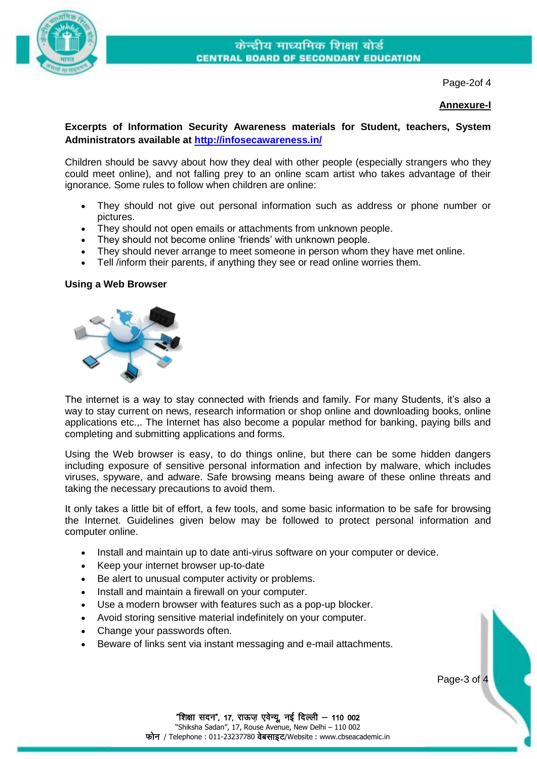

Page-2of 4

## **Annexure-I**

# **Excerpts of Information Security Awareness materials for Student, teachers, System Administrators available at [http://infosecawareness.in/](http://infosecawareness.in/student/)**

Children should be savvy about how they deal with other people (especially strangers who they could meet online), and not falling prey to an online scam artist who takes advantage of their ignorance. Some rules to follow when children are online:

- They should not give out personal information such as address or phone number or pictures.
- They should not open emails or attachments from unknown people.
- They should not become online 'friends' with unknown people.
- They should never arrange to meet someone in person whom they have met online.
- Tell /inform their parents, if anything they see or read online worries them.

#### **Using a Web Browser**



The internet is a way to stay connected with friends and family. For many Students, it's also a way to stay current on news, research information or shop online and downloading books, online applications etc.,. The Internet has also become a popular method for banking, paying bills and completing and submitting applications and forms.

Using the Web browser is easy, to do things online, but there can be some hidden dangers including exposure of sensitive personal information and infection by malware, which includes viruses, spyware, and adware. Safe browsing means being aware of these online threats and taking the necessary precautions to avoid them.

It only takes a little bit of effort, a few tools, and some basic information to be safe for browsing the Internet. Guidelines given below may be followed to protect personal information and computer online.

- Install and maintain up to date anti-virus software on your computer or device.
- Keep your internet browser up-to-date
- Be alert to unusual computer activity or problems.
- Install and maintain a firewall on your computer.
- Use a modern browser with features such as a pop-up blocker.
- Avoid storing sensitive material indefinitely on your computer.
- Change your passwords often.
- Beware of links sent via instant messaging and e-mail attachments.

Page-3 of 4